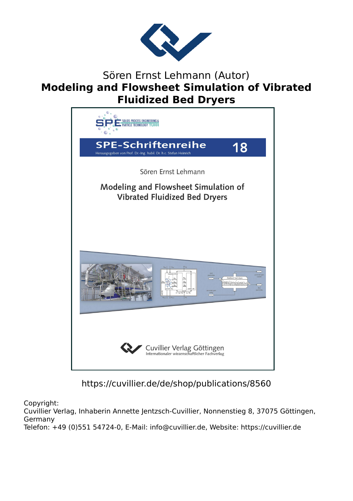

## Sören Ernst Lehmann (Autor) **Modeling and Flowsheet Simulation of Vibrated Fluidized Bed Dryers**



## https://cuvillier.de/de/shop/publications/8560

Copyright:

Cuvillier Verlag, Inhaberin Annette Jentzsch-Cuvillier, Nonnenstieg 8, 37075 Göttingen, Germany Telefon: +49 (0)551 54724-0, E-Mail: info@cuvillier.de, Website: https://cuvillier.de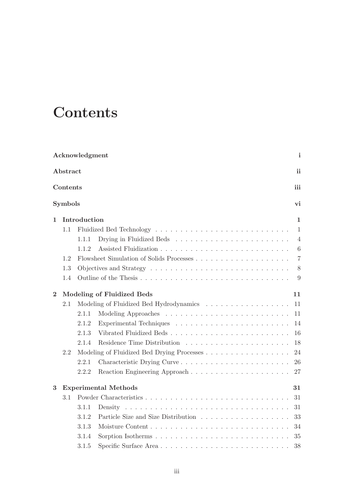## **Contents**

| Acknowledgment<br>i |     |              |                                                                                             |                |  |  |  |  |
|---------------------|-----|--------------|---------------------------------------------------------------------------------------------|----------------|--|--|--|--|
| Abstract            |     |              |                                                                                             |                |  |  |  |  |
| Contents<br>iii     |     |              |                                                                                             |                |  |  |  |  |
| Symbols<br>vi       |     |              |                                                                                             |                |  |  |  |  |
| 1                   |     | Introduction |                                                                                             |                |  |  |  |  |
|                     | 1.1 |              |                                                                                             | $\mathbf{1}$   |  |  |  |  |
|                     |     | 1.1.1        |                                                                                             | $\overline{4}$ |  |  |  |  |
|                     |     | 1.1.2        |                                                                                             | 6              |  |  |  |  |
|                     | 1.2 |              |                                                                                             | $\overline{7}$ |  |  |  |  |
|                     | 1.3 |              | Objectives and Strategy $\dots \dots \dots \dots \dots \dots \dots \dots \dots \dots \dots$ | 8              |  |  |  |  |
|                     | 1.4 |              |                                                                                             | 9              |  |  |  |  |
| $\bf{2}$            |     |              | Modeling of Fluidized Beds                                                                  | 11             |  |  |  |  |
|                     | 2.1 |              | Modeling of Fluidized Bed Hydrodynamics                                                     | 11             |  |  |  |  |
|                     |     | 2.1.1        |                                                                                             | 11             |  |  |  |  |
|                     |     | 2.1.2        |                                                                                             | 14             |  |  |  |  |
|                     |     | 2.1.3        | Vibrated Fluidized Beds                                                                     | 16             |  |  |  |  |
|                     |     | 2.1.4        |                                                                                             | 18             |  |  |  |  |
|                     | 2.2 |              |                                                                                             |                |  |  |  |  |
|                     |     | 2.2.1        | Characteristic Drying Curve                                                                 | 26             |  |  |  |  |
|                     |     | 2.2.2        |                                                                                             | 27             |  |  |  |  |
| 3                   |     |              | <b>Experimental Methods</b>                                                                 | 31             |  |  |  |  |
|                     | 3.1 |              |                                                                                             | 31             |  |  |  |  |
|                     |     | 3.1.1        |                                                                                             | 31             |  |  |  |  |
|                     |     | 3.1.2        |                                                                                             | 33             |  |  |  |  |
|                     |     | 3.1.3        |                                                                                             | 34             |  |  |  |  |
|                     |     | 3.1.4        |                                                                                             | 35             |  |  |  |  |
|                     |     | 3.1.5        | Specific Surface Area                                                                       | 38             |  |  |  |  |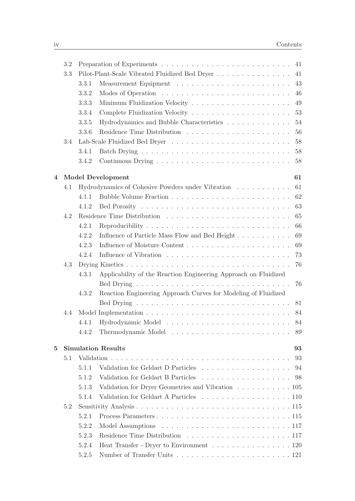|   | 3.2 |                                 |                                                                                               | 41 |  |  |  |
|---|-----|---------------------------------|-----------------------------------------------------------------------------------------------|----|--|--|--|
|   | 3.3 |                                 |                                                                                               | 41 |  |  |  |
|   |     | 3.3.1                           |                                                                                               | 43 |  |  |  |
|   |     | 3.3.2                           |                                                                                               | 46 |  |  |  |
|   |     | 3.3.3                           |                                                                                               | 49 |  |  |  |
|   |     | 3.3.4                           |                                                                                               | 53 |  |  |  |
|   |     | 3.3.5                           | Hydrodynamics and Bubble Characteristics                                                      | 54 |  |  |  |
|   |     | 3.3.6                           |                                                                                               | 56 |  |  |  |
|   | 3.4 |                                 |                                                                                               | 58 |  |  |  |
|   |     | 3.4.1                           |                                                                                               | 58 |  |  |  |
|   |     | 3.4.2                           |                                                                                               | 58 |  |  |  |
| 4 |     | 61<br>Model Development         |                                                                                               |    |  |  |  |
|   | 4.1 |                                 | Hydrodynamics of Cohesive Powders under Vibration $\ldots \ldots \ldots \ldots$               | 61 |  |  |  |
|   |     | 4.1.1                           |                                                                                               | 62 |  |  |  |
|   |     | 4.1.2                           |                                                                                               | 63 |  |  |  |
|   | 4.2 |                                 |                                                                                               | 65 |  |  |  |
|   |     | 4.2.1                           |                                                                                               | 66 |  |  |  |
|   |     | 4.2.2                           | Influence of Particle Mass Flow and Bed Height                                                | 69 |  |  |  |
|   |     | 4.2.3                           |                                                                                               | 69 |  |  |  |
|   |     | 4.2.4                           |                                                                                               | 73 |  |  |  |
|   | 4.3 |                                 |                                                                                               | 76 |  |  |  |
|   |     | 4.3.1                           | Applicability of the Reaction Engineering Approach on Fluidized                               |    |  |  |  |
|   |     |                                 |                                                                                               | 76 |  |  |  |
|   |     | 4.3.2                           | Reaction Engineering Approach Curves for Modeling of Fluidized                                |    |  |  |  |
|   |     |                                 |                                                                                               | 81 |  |  |  |
|   | 4.4 |                                 |                                                                                               | 84 |  |  |  |
|   |     | 4.4.1                           |                                                                                               | 84 |  |  |  |
|   |     | 4.4.2                           |                                                                                               | 89 |  |  |  |
| 5 |     | <b>Simulation Results</b><br>93 |                                                                                               |    |  |  |  |
|   | 5.1 |                                 |                                                                                               | 93 |  |  |  |
|   |     | 5.1.1                           | Validation for Geldart D Particles 94                                                         |    |  |  |  |
|   |     | 5.1.2                           | Validation for Geldart B Particles 98                                                         |    |  |  |  |
|   |     | 5.1.3                           | Validation for Dryer Geometries and Vibration $\hfill\ldots\ldots\ldots\ldots\ldots\ldots105$ |    |  |  |  |
|   |     | 5.1.4                           | Validation for Geldart A Particles 110                                                        |    |  |  |  |
|   | 5.2 |                                 |                                                                                               |    |  |  |  |
|   |     | 5.2.1                           |                                                                                               |    |  |  |  |
|   |     | 5.2.2                           |                                                                                               |    |  |  |  |
|   |     | 5.2.3                           |                                                                                               |    |  |  |  |
|   |     | 5.2.4                           | Heat Transfer - Dryer to Environment 120                                                      |    |  |  |  |
|   |     | 5.2.5                           |                                                                                               |    |  |  |  |